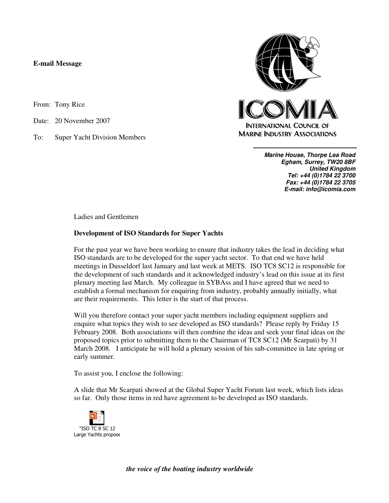## **E-mail Message**

From: Tony Rice

Date: 20 November 2007

To: Super Yacht Division Members



**Marine House, Thorpe Lea Road Egham, Surrey, TW20 8BF United Kingdom Tel: +44 (0)1784 22 3700 Fax: +44 (0)1784 22 3705 E-mail: info@icomia.com**

Ladies and Gentlemen

## **Development of ISO Standards for Super Yachts**

For the past year we have been working to ensure that industry takes the lead in deciding what ISO standards are to be developed for the super yacht sector. To that end we have held meetings in Dusseldorf last January and last week at METS. ISO TC8 SC12 is responsible for the development of such standards and it acknowledged industry's lead on this issue at its first plenary meeting last March. My colleague in SYBAss and I have agreed that we need to establish a formal mechanism for enquiring from industry, probably annually initially, what are their requirements. This letter is the start of that process.

Will you therefore contact your super yacht members including equipment suppliers and enquire what topics they wish to see developed as ISO standards? Please reply by Friday 15 February 2008. Both associations will then combine the ideas and seek your final ideas on the proposed topics prior to submitting them to the Chairman of TC8 SC12 (Mr Scarpati) by 31 March 2008. I anticipate he will hold a plenary session of his sub-committee in late spring or early summer.

To assist you, I enclose the following:

A slide that Mr Scarpati showed at the Global Super Yacht Forum last week, which lists ideas so far. Only those items in red have agreement to be developed as ISO standards.



*the voice of the boating industry worldwide*